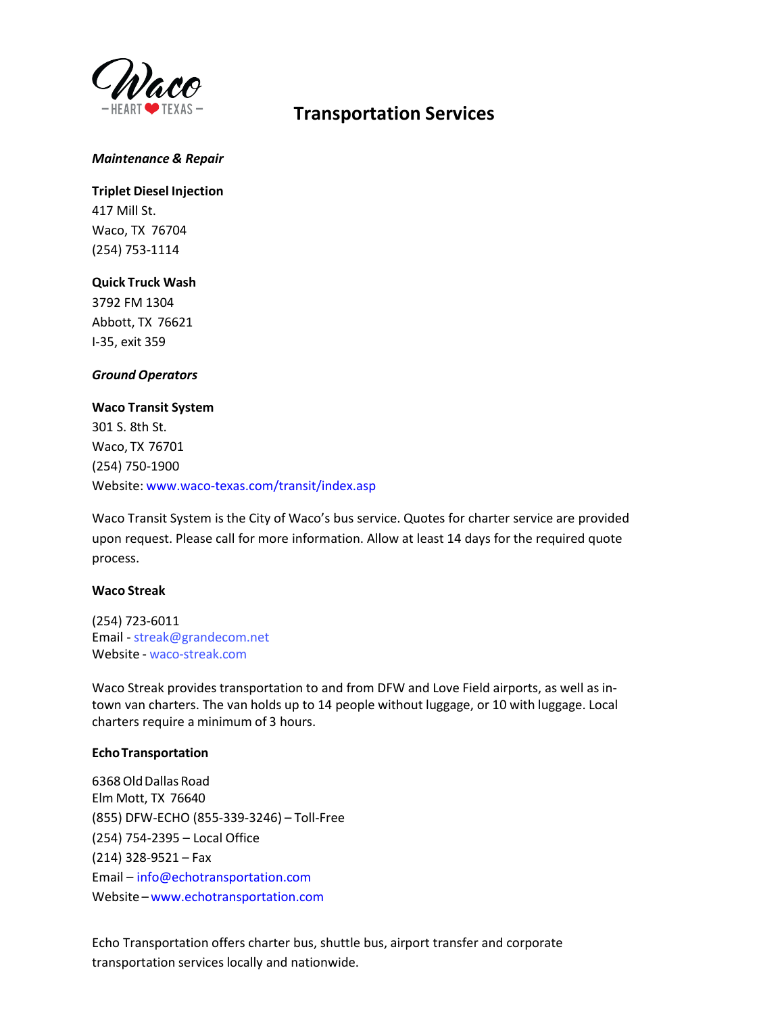

# **Transportation Services**

#### *Maintenance & Repair*

**Triplet Diesel Injection**  417 Mill St. Waco, TX 76704 (254) 753-1114

### **Quick Truck Wash**

3792 FM 1304 Abbott, TX 76621 I-35, exit 359

#### *Ground Operators*

**Waco Transit System** 301 S. 8th St. Waco, TX 76701 (254) 750-1900 Website: [www.waco-texas.com/transit/index.asp](http://www.waco-texas.com/transit/index.asp)

Waco Transit System is the City of Waco's bus service. Quotes for charter service are provided upon request. Please call for more information. Allow at least 14 days for the required quote process.

#### **Waco Streak**

(254) 723-6011 Email - [streak@grandecom.net](mailto:streak@grandecom.net) Website - [waco-streak.com](https://www.waco-streak.com/)

Waco Streak provides transportation to and from DFW and Love Field airports, as well as intown van charters. The van holds up to 14 people without luggage, or 10 with luggage. Local charters require a minimum of 3 hours.

#### **EchoTransportation**

6368Old Dallas Road Elm Mott, TX 76640 (855) DFW-ECHO (855-339-3246) – Toll-Free (254) 754-2395 – Local Office (214) 328-9521 – Fax Email [– info@echotransportation.com](mailto:info@echotransportation.com) Website –<www.echotransportation.com>

Echo Transportation offers charter bus, shuttle bus, airport transfer and corporate transportation services locally and nationwide.